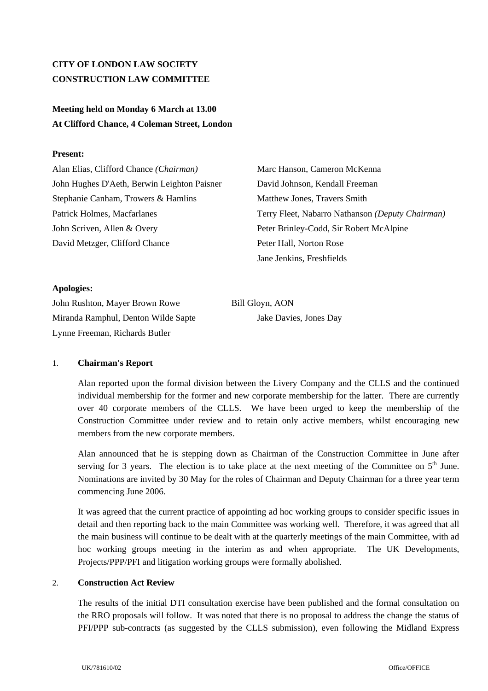# **CITY OF LONDON LAW SOCIETY CONSTRUCTION LAW COMMITTEE**

# **Meeting held on Monday 6 March at 13.00 At Clifford Chance, 4 Coleman Street, London**

# **Present:**

Alan Elias, Clifford Chance *(Chairman)* Marc Hanson, Cameron McKenna John Hughes D'Aeth, Berwin Leighton Paisner David Johnson, Kendall Freeman Stephanie Canham, Trowers & Hamlins Matthew Jones, Travers Smith John Scriven, Allen & Overy Peter Brinley-Codd, Sir Robert McAlpine David Metzger, Clifford Chance Peter Hall, Norton Rose

Patrick Holmes, Macfarlanes Terry Fleet, Nabarro Nathanson *(Deputy Chairman)*  Jane Jenkins, Freshfields

# **Apologies:**

John Rushton, Mayer Brown Rowe Bill Gloyn, AON Miranda Ramphul, Denton Wilde Sapte Jake Davies, Jones Day Lynne Freeman, Richards Butler

# 1. **Chairman's Report**

Alan reported upon the formal division between the Livery Company and the CLLS and the continued individual membership for the former and new corporate membership for the latter. There are currently over 40 corporate members of the CLLS. We have been urged to keep the membership of the Construction Committee under review and to retain only active members, whilst encouraging new members from the new corporate members.

Alan announced that he is stepping down as Chairman of the Construction Committee in June after serving for 3 years. The election is to take place at the next meeting of the Committee on  $5<sup>th</sup>$  June. Nominations are invited by 30 May for the roles of Chairman and Deputy Chairman for a three year term commencing June 2006.

It was agreed that the current practice of appointing ad hoc working groups to consider specific issues in detail and then reporting back to the main Committee was working well. Therefore, it was agreed that all the main business will continue to be dealt with at the quarterly meetings of the main Committee, with ad hoc working groups meeting in the interim as and when appropriate. The UK Developments, Projects/PPP/PFI and litigation working groups were formally abolished.

#### 2. **Construction Act Review**

The results of the initial DTI consultation exercise have been published and the formal consultation on the RRO proposals will follow. It was noted that there is no proposal to address the change the status of PFI/PPP sub-contracts (as suggested by the CLLS submission), even following the Midland Express